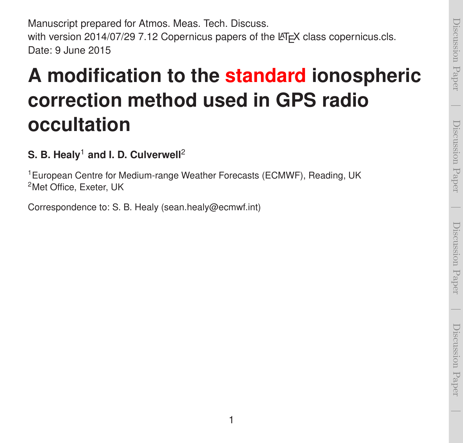Manuscript prepared for Atmos. Meas. Tech. Discuss. with version 2014/07/29 7.12 Copernicus papers of the LATEX class copernicus.cls. Date: 9 June 2015

### **A modification to the standard ionospheric correction method used in GPS radio occultation**

### **S. B. Healy<sup>1</sup> and I. D. Culverwell<sup>2</sup>**

<sup>1</sup>European Centre for Medium-range Weather Forecasts (ECMWF), Reading, UK <sup>2</sup>Met Office, Exeter, UK

Correspondence to: S. B. Healy (sean.healy@ecmwf.int)

 $\overline{\phantom{0}}$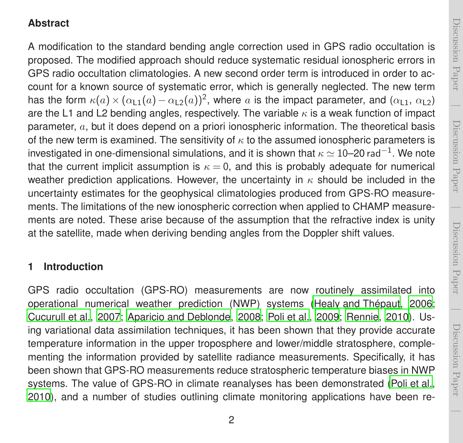# Discussion PaperDiscussion Paper

 $\overline{\phantom{0}}$ 

 $\overline{\phantom{0}}$ 

#### **Abstract**

A modification to the standard bending angle correction used in GPS radio occultation is proposed. The modified approach should reduce systematic residual ionospheric errors in GPS radio occultation climatologies. A new second order term is introduced in order to account for a known source of systematic error, which is generally neglected. The new term has the form  $\kappa(a) \times (\alpha_{11}(a) - \alpha_{12}(a))^2$ , where a is the impact parameter, and  $(\alpha_{11}, \alpha_{12})$ are the L1 and L2 bending angles, respectively. The variable  $\kappa$  is a weak function of impact parameter, a, but it does depend on a priori ionospheric information. The theoretical basis of the new term is examined. The sensitivity of  $\kappa$  to the assumed ionospheric parameters is investigated in one-dimensional simulations, and it is shown that  $\kappa\simeq 10$ –20 rad $^{-1}.$  We note that the current implicit assumption is  $\kappa = 0$ , and this is probably adequate for numerical weather prediction applications. However, the uncertainty in  $\kappa$  should be included in the uncertainty estimates for the geophysical climatologies produced from GPS-RO measurements. The limitations of the new ionospheric correction when applied to CHAMP measurements are noted. These arise because of the assumption that the refractive index is unity at the satellite, made when deriving bending angles from the Doppler shift values.

#### **1 Introduction**

GPS radio occultation (GPS-RO) measurements are now routinely assimilated into operational numerical weather prediction (NWP) systems [\(Healy and Thépaut, 2006](#page-16-0); [Cucurull et al., 2007](#page-16-1); [Aparicio and Deblonde](#page-16-2), [2008;](#page-16-2) [Poli et al.](#page-17-0), [2009;](#page-17-0) [Rennie, 2010](#page-17-1)). Using variational data assimilation techniques, it has been shown that they provide accurate temperature information in the upper troposphere and lower/middle stratosphere, complementing the information provided by satellite radiance measurements. Specifically, it has been shown that GPS-RO measurements reduce stratospheric temperature biases in NWP systems. The value of GPS-RO in climate reanalyses has been demonstrated [\(Poli et al.](#page-17-2), [2010](#page-17-2)), and a number of studies outlining climate monitoring applications have been re-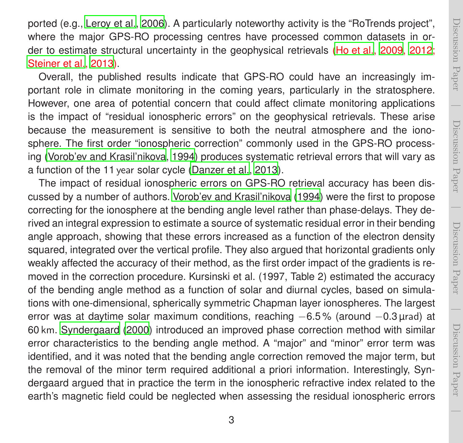ported (e.g., [Leroy et al.](#page-17-3), [2006\)](#page-17-3). A particularly noteworthy activity is the "RoTrends project", where the major GPS-RO processing centres have processed common datasets in order to estimate structural uncertainty in the geophysical retrievals [\(Ho et al., 2009,](#page-16-3) [2012](#page-16-4); [Steiner et al., 2013](#page-17-4)).

Overall, the published results indicate that GPS-RO could have an increasingly important role in climate monitoring in the coming years, particularly in the stratosphere. However, one area of potential concern that could affect climate monitoring applications is the impact of "residual ionospheric errors" on the geophysical retrievals. These arise because the measurement is sensitive to both the neutral atmosphere and the ionosphere. The first order "ionospheric correction" commonly used in the GPS-RO processing [\(Vorob'ev and Krasil'nikova, 1994\)](#page-18-0) produces systematic retrieval errors that will vary as a function of the 11 year solar cycle [\(Danzer et al.](#page-16-5), [2013](#page-16-5)).

The impact of residual ionospheric errors on GPS-RO retrieval accuracy has been discussed by a number of authors. [Vorob'ev and Krasil'nikova \(1994](#page-18-0)) were the first to propose correcting for the ionosphere at the bending angle level rather than phase-delays. They derived an integral expression to estimate a source of systematic residual error in their bending angle approach, showing that these errors increased as a function of the electron density squared, integrated over the vertical profile. They also argued that horizontal gradients only weakly affected the accuracy of their method, as the first order impact of the gradients is removed in the correction procedure. Kursinski et al. (1997, Table 2) estimated the accuracy of the bending angle method as a function of solar and diurnal cycles, based on simulations with one-dimensional, spherically symmetric Chapman layer ionospheres. The largest error was at daytime solar maximum conditions, reaching −6.5 % (around −0.3 µrad) at 60 km. [Syndergaard \(2000](#page-17-5)) introduced an improved phase correction method with similar error characteristics to the bending angle method. A "major" and "minor" error term was identified, and it was noted that the bending angle correction removed the major term, but the removal of the minor term required additional a priori information. Interestingly, Syndergaard argued that in practice the term in the ionospheric refractive index related to the earth's magnetic field could be neglected when assessing the residual ionospheric errors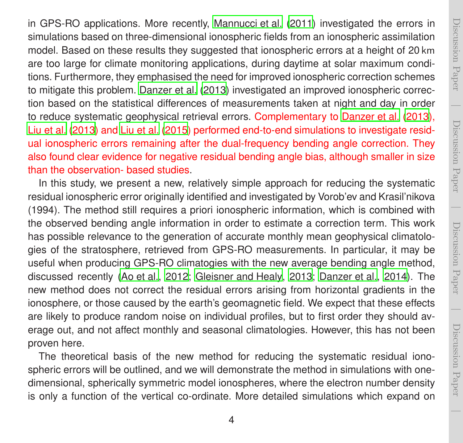in GPS-RO applications. More recently, [Mannucci et al. \(2011\)](#page-17-6) investigated the errors in simulations based on three-dimensional ionospheric fields from an ionospheric assimilation model. Based on these results they suggested that ionospheric errors at a height of 20 km are too large for climate monitoring applications, during daytime at solar maximum conditions. Furthermore, they emphasised the need for improved ionospheric correction schemes to mitigate this problem. [Danzer et al. \(2013\)](#page-16-5) investigated an improved ionospheric correction based on the statistical differences of measurements taken at night and day in order to reduce systematic geophysical retrieval errors. Complementary to [Danzer et al. \(2013\)](#page-16-5), [Liu et al.](#page-17-7) [\(2013\)](#page-17-7) and [Liu et al. \(2015\)](#page-17-8) performed end-to-end simulations to investigate residual ionospheric errors remaining after the dual-frequency bending angle correction. They also found clear evidence for negative residual bending angle bias, although smaller in size than the observation- based studies.

In this study, we present a new, relatively simple approach for reducing the systematic residual ionospheric error originally identified and investigated by Vorob'ev and Krasil'nikova (1994). The method still requires a priori ionospheric information, which is combined with the observed bending angle information in order to estimate a correction term. This work has possible relevance to the generation of accurate monthly mean geophysical climatologies of the stratosphere, retrieved from GPS-RO measurements. In particular, it may be useful when producing GPS-RO climatogies with the new average bending angle method, discussed recently [\(Ao et al.](#page-15-0), [2012](#page-15-0); [Gleisner and Healy, 2013](#page-16-6); [Danzer et al.](#page-16-7), [2014\)](#page-16-7). The new method does not correct the residual errors arising from horizontal gradients in the ionosphere, or those caused by the earth's geomagnetic field. We expect that these effects are likely to produce random noise on individual profiles, but to first order they should average out, and not affect monthly and seasonal climatologies. However, this has not been proven here.

The theoretical basis of the new method for reducing the systematic residual ionospheric errors will be outlined, and we will demonstrate the method in simulations with onedimensional, spherically symmetric model ionospheres, where the electron number density is only a function of the vertical co-ordinate. More detailed simulations which expand on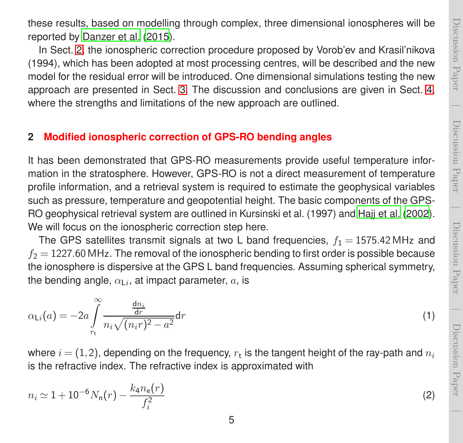<span id="page-4-1"></span>Discussion Paper

Discussion Paper

 $\overline{\phantom{0}}$ 

these results, based on modelling through complex, three dimensional ionospheres will be reported by [Danzer et al. \(2015\)](#page-16-8).

In Sect. [2,](#page-4-0) the ionospheric correction procedure proposed by Vorob'ev and Krasil'nikova (1994), which has been adopted at most processing centres, will be described and the new model for the residual error will be introduced. One dimensional simulations testing the new approach are presented in Sect. [3.](#page-7-0) The discussion and conclusions are given in Sect. [4,](#page-9-0) where the strengths and limitations of the new approach are outlined.

#### <span id="page-4-0"></span>**2 Modified ionospheric correction of GPS-RO bending angles**

It has been demonstrated that GPS-RO measurements provide useful temperature information in the stratosphere. However, GPS-RO is not a direct measurement of temperature profile information, and a retrieval system is required to estimate the geophysical variables such as pressure, temperature and geopotential height. The basic components of the GPS-RO geophysical retrieval system are outlined in Kursinski et al. (1997) and [Hajj et al. \(2002\)](#page-16-9). We will focus on the ionospheric correction step here.

The GPS satellites transmit signals at two L band frequencies,  $f_1 = 1575.42 \text{ MHz}$  and  $f_2$  = 1227.60 MHz. The removal of the ionospheric bending to first order is possible because the ionosphere is dispersive at the GPS L band frequencies. Assuming spherical symmetry, the bending angle,  $\alpha_{\mathsf{L}i}$ , at impact parameter,  $a$ , is

$$
\alpha_{\text{Li}}(a) = -2a \int_{r_{\text{t}}}^{\infty} \frac{\frac{\text{d}n_i}{\text{d}r}}{n_i \sqrt{(n_i r)^2 - a^2}} \text{d}r \tag{1}
$$

where  $i\!=\!(1,2)$ , depending on the frequency,  $r_{\text{t}}$  is the tangent height of the ray-path and  $n_i$ is the refractive index. The refractive index is approximated with

$$
n_i \simeq 1 + 10^{-6} N_n(r) - \frac{k_4 n_e(r)}{f_i^2} \tag{2}
$$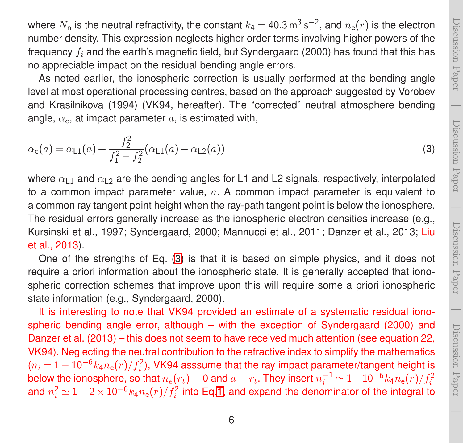where  $N_{\sf n}$  is the neutral refractivity, the constant  $k_{\sf 4}=$  40.3  ${\sf m^3\,s^{-2}}$ , and  $n_{\sf e}(r)$  is the electron number density. This expression neglects higher order terms involving higher powers of the frequency  $f_i$  and the earth's magnetic field, but Syndergaard (2000) has found that this has no appreciable impact on the residual bending angle errors.

As noted earlier, the ionospheric correction is usually performed at the bending angle level at most operational processing centres, based on the approach suggested by Vorobev and Krasilnikova (1994) (VK94, hereafter). The "corrected" neutral atmosphere bending angle,  $\alpha_c$ , at impact parameter a, is estimated with,

<span id="page-5-0"></span>
$$
\alpha_{\mathsf{c}}(a) = \alpha_{\mathsf{L}1}(a) + \frac{f_2^2}{f_1^2 - f_2^2} (\alpha_{\mathsf{L}1}(a) - \alpha_{\mathsf{L}2}(a)) \tag{3}
$$

where  $\alpha_{1,1}$  and  $\alpha_{1,2}$  are the bending angles for L1 and L2 signals, respectively, interpolated to a common impact parameter value,  $a$ . A common impact parameter is equivalent to a common ray tangent point height when the ray-path tangent point is below the ionosphere. The residual errors generally increase as the ionospheric electron densities increase (e.g., Kursinski et al., 1997; Syndergaard, 2000; Mannucci et al., 2011; Danzer et al., 2013; Liu et al., 2013).

One of the strengths of Eq. [\(3\)](#page-5-0) is that it is based on simple physics, and it does not require a priori information about the ionospheric state. It is generally accepted that ionospheric correction schemes that improve upon this will require some a priori ionospheric state information (e.g., Syndergaard, 2000).

It is interesting to note that VK94 provided an estimate of a systematic residual ionospheric bending angle error, although – with the exception of Syndergaard (2000) and Danzer et al. (2013) – this does not seem to have received much attention (see equation 22, VK94). Neglecting the neutral contribution to the refractive index to simplify the mathematics  $(n_i = 1 - 10^{-6} k_4 n_e(r)/f_i^2)$ , VK94 asssume that the ray impact parameter/tangent height is below the ionosphere, so that  $n_e(r_t)=0$  and  $a=r_t$ . They insert  $n_i^{-1} \simeq 1+10^{-6} k_4 n_{\rm e}(r)/f_i^2$ and  $n_i^2 \simeq 1-2\times 10^{-6} k_4 n_{\rm e}(r)/f_i^2$  into Eq[.1,](#page-4-1) and expand the denominator of the integral to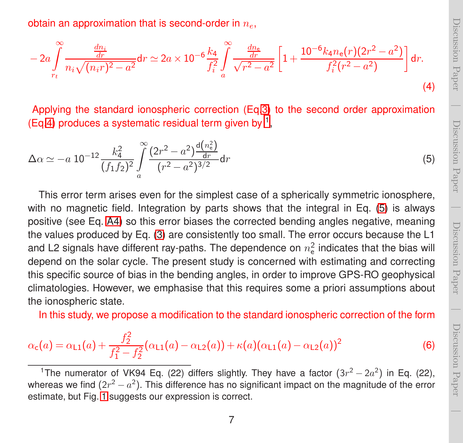<span id="page-6-2"></span><span id="page-6-0"></span> Discussion PaperDiscussion Paper

Discussion Paper

<span id="page-6-3"></span>Discussion Paper

 $\overline{\phantom{0}}$ 

obtain an approximation that is second-order in  $n_e$ .

$$
-2a\int_{r_t}^{\infty} \frac{\frac{dn_i}{dr}}{n_i\sqrt{(n_i r)^2 - a^2}} dr \simeq 2a \times 10^{-6} \frac{k_4}{f_i^2} \int_{a}^{\infty} \frac{\frac{dn_e}{dr}}{\sqrt{r^2 - a^2}} \left[1 + \frac{10^{-6} k_4 n_e(r)(2r^2 - a^2)}{f_i^2 (r^2 - a^2)}\right] dr.
$$
\n(4)

Applying the standard ionospheric correction (Eq[.3\)](#page-5-0) to the second order approximation (Eq[.4\)](#page-6-0) produces a systematic residual term given by  $<sup>1</sup>$  $<sup>1</sup>$  $<sup>1</sup>$ ,</sup>

$$
\Delta \alpha \simeq -a \; 10^{-12} \frac{k_4^2}{(f_1 f_2)^2} \int\limits_a^\infty \frac{(2r^2 - a^2) \frac{\mathrm{d}(n_e^2)}{\mathrm{d}r}}{(r^2 - a^2)^{3/2}} \mathrm{d}r \tag{5}
$$

This error term arises even for the simplest case of a spherically symmetric ionosphere, with no magnetic field. Integration by parts shows that the integral in Eq. [\(5\)](#page-6-2) is always positive (see Eq. [A4\)](#page-12-0) so this error biases the corrected bending angles negative, meaning the values produced by Eq. [\(3\)](#page-5-0) are consistently too small. The error occurs because the L1 and L2 signals have different ray-paths. The dependence on  $n_e^2$  indicates that the bias will depend on the solar cycle. The present study is concerned with estimating and correcting this specific source of bias in the bending angles, in order to improve GPS-RO geophysical climatologies. However, we emphasise that this requires some a priori assumptions about the ionospheric state.

In this study, we propose a modification to the standard ionospheric correction of the form

$$
\alpha_{\mathsf{c}}(a) = \alpha_{\mathsf{L}1}(a) + \frac{f_2^2}{f_1^2 - f_2^2} (\alpha_{\mathsf{L}1}(a) - \alpha_{\mathsf{L}2}(a)) + \kappa(a)(\alpha_{\mathsf{L}1}(a) - \alpha_{\mathsf{L}2}(a))^2
$$
(6)

<span id="page-6-1"></span><sup>&</sup>lt;sup>1</sup>The numerator of VK94 Eq. (22) differs slightly. They have a factor  $(3r^2 - 2a^2)$  in Eq. (22), whereas we find  $(2r^2 - a^2)$ . This difference has no significant impact on the magnitude of the error estimate, but Fig. [1](#page-19-0) suggests our expression is correct.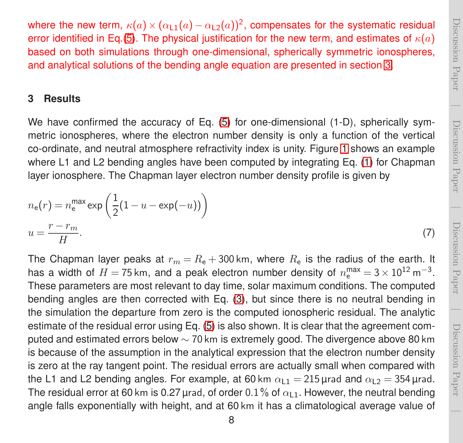<span id="page-7-1"></span> $\overline{\phantom{0}}$ 

where the new term,  $\kappa(a) \times (\alpha_{11}(a) - \alpha_{12}(a))^2$ , compensates for the systematic residual error identified in Eq.[\(5\)](#page-6-2). The physical justification for the new term, and estimates of  $\kappa(a)$ based on both simulations through one-dimensional, spherically symmetric ionospheres, and analytical solutions of the bending angle equation are presented in section [3.](#page-7-0)

#### <span id="page-7-0"></span>**3 Results**

We have confirmed the accuracy of Eq. [\(5\)](#page-6-2) for one-dimensional (1-D), spherically symmetric ionospheres, where the electron number density is only a function of the vertical co-ordinate, and neutral atmosphere refractivity index is unity. Figure [1](#page-19-0) shows an example where L1 and L2 bending angles have been computed by integrating Eq. [\(1\)](#page-4-1) for Chapman layer ionosphere. The Chapman layer electron number density profile is given by

$$
n_{e}(r) = n_{e}^{\max} \exp\left(\frac{1}{2}(1 - u - \exp(-u))\right)
$$
  

$$
u = \frac{r - r_{m}}{H}.
$$
 (7)

The Chapman layer peaks at  $r_m = R_e + 300$  km, where  $R_e$  is the radius of the earth. It has a width of  $H = 75$  km, and a peak electron number density of  $n_{\rm e}^{\rm max} = 3 \times 10^{12}$  m<sup>-3</sup>. These parameters are most relevant to day time, solar maximum conditions. The computed bending angles are then corrected with Eq. [\(3\)](#page-5-0), but since there is no neutral bending in the simulation the departure from zero is the computed ionospheric residual. The analytic estimate of the residual error using Eq. [\(5\)](#page-6-2) is also shown. It is clear that the agreement computed and estimated errors below  $\sim$  70 km is extremely good. The divergence above 80 km is because of the assumption in the analytical expression that the electron number density is zero at the ray tangent point. The residual errors are actually small when compared with the L1 and L2 bending angles. For example, at 60 km  $\alpha_{11} = 215$  urad and  $\alpha_{12} = 354$  urad. The residual error at 60 km is 0.27 µrad, of order 0.1% of  $\alpha_{1,1}$ . However, the neutral bending angle falls exponentially with height, and at 60 km it has a climatological average value of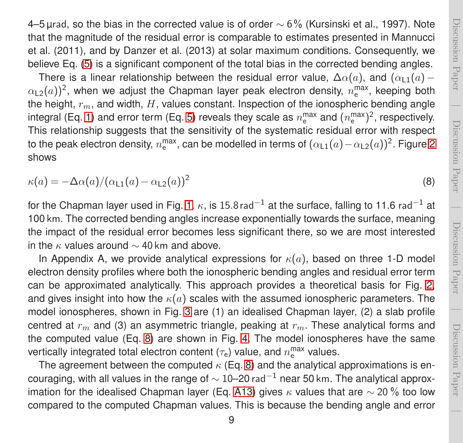4–5 µrad, so the bias in the corrected value is of order  $\sim$  6% (Kursinski et al., 1997). Note that the magnitude of the residual error is comparable to estimates presented in Mannucci et al. (2011), and by Danzer et al. (2013) at solar maximum conditions. Consequently, we believe Eq. [\(5\)](#page-6-2) is a significant component of the total bias in the corrected bending angles.

There is a linear relationship between the residual error value,  $\Delta\alpha(a)$ , and  $(\alpha_{1,1}(a) \alpha_{\textsf{L2}}(a))^2$ , when we adjust the Chapman layer peak electron density,  $n_{\textsf{e}}^{\textsf{max}}$ , keeping both the height,  $r_m$ , and width,  $H$ , values constant. Inspection of the ionospheric bending angle integral (Eq. [1\)](#page-4-1) and error term (Eq. [5\)](#page-6-2) reveals they scale as  $n_{\rm e}^{\rm max}$  and  $(n_{\rm e}^{\rm max})^2$ , respectively. This relationship suggests that the sensitivity of the systematic residual error with respect to the peak electron density,  $n_{\rm e}^{\rm max}$ , can be modelled in terms of  $(\alpha_{\rm L1}(a)-\alpha_{\rm L2}(a))^2$ . Figure [2](#page-20-0) shows

<span id="page-8-0"></span>
$$
\kappa(a) = -\Delta\alpha(a)/(\alpha_{\text{L1}}(a) - \alpha_{\text{L2}}(a))^2
$$
\n(8)

for the Chapman layer used in Fig. [1.](#page-19-0)  $\kappa$ , is 15.8 rad<sup>-1</sup> at the surface, falling to 11.6 rad<sup>-1</sup> at 100 km. The corrected bending angles increase exponentially towards the surface, meaning the impact of the residual error becomes less significant there, so we are most interested in the  $\kappa$  values around  $\sim$  40 km and above.

In Appendix A, we provide analytical expressions for  $\kappa(a)$ , based on three 1-D model electron density profiles where both the ionospheric bending angles and residual error term can be approximated analytically. This approach provides a theoretical basis for Fig. [2,](#page-20-0) and gives insight into how the  $\kappa(a)$  scales with the assumed ionospheric parameters. The model ionospheres, shown in Fig. [3](#page-21-0) are (1) an idealised Chapman layer, (2) a slab profile centred at  $r<sub>m</sub>$  and (3) an asymmetric triangle, peaking at  $r<sub>m</sub>$ . These analytical forms and the computed value (Eq. [8\)](#page-8-0) are shown in Fig. [4.](#page-22-0) The model ionospheres have the same vertically integrated total electron content ( $\tau_{\mathsf{e}}$ ) value, and  $n_{\mathsf{e}}^{\mathsf{max}}$  values.

The agreement between the computed  $\kappa$  (Eq. [8\)](#page-8-0) and the analytical approximations is encouraging, with all values in the range of  $\sim$  10–20 rad<sup>-1</sup> near 50 km. The analytical approx-imation for the idealised Chapman layer (Eq. [A13\)](#page-14-0) gives  $\kappa$  values that are ∼ 20 % too low compared to the computed Chapman values. This is because the bending angle and error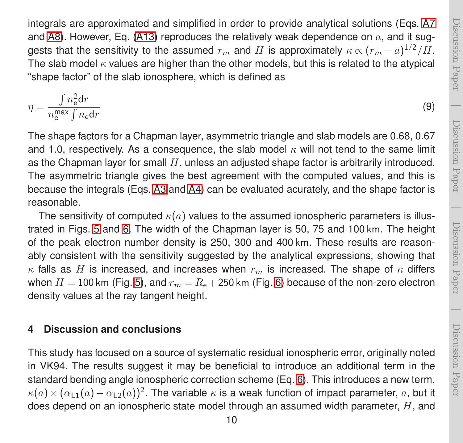$\overline{\phantom{0}}$ 

integrals are approximated and simplified in order to provide analytical solutions (Eqs. [A7](#page-13-0) and [A8\)](#page-13-1). However, Eq. [\(A13\)](#page-14-0) reproduces the relatively weak dependence on  $a$ , and it suggests that the sensitivity to the assumed  $r_m$  and  $H$  is approximately  $\kappa \propto (r_m-a)^{1/2}/H.$ The slab model  $\kappa$  values are higher than the other models, but this is related to the atypical "shape factor" of the slab ionosphere, which is defined as

$$
\eta = \frac{\int n_{\rm e}^2 \mathrm{d}r}{n_{\rm e}^{\max} \int n_{\rm e} \mathrm{d}r} \tag{9}
$$

The shape factors for a Chapman layer, asymmetric triangle and slab models are 0.68, 0.67 and 1.0, respectively. As a consequence, the slab model  $\kappa$  will not tend to the same limit as the Chapman layer for small  $H$ , unless an adjusted shape factor is arbitrarily introduced. The asymmetric triangle gives the best agreement with the computed values, and this is because the integrals (Eqs. [A3](#page-12-1) and [A4\)](#page-12-0) can be evaluated acurately, and the shape factor is reasonable.

The sensitivity of computed  $\kappa(a)$  values to the assumed ionospheric parameters is illustrated in Figs. [5](#page-23-0) and [6.](#page-24-0) The width of the Chapman layer is 50, 75 and 100 km. The height of the peak electron number density is 250, 300 and 400 km. These results are reasonably consistent with the sensitivity suggested by the analytical expressions, showing that  $\kappa$  falls as H is increased, and increases when  $r_m$  is increased. The shape of  $\kappa$  differs when  $H = 100$  km (Fig. [5\)](#page-23-0), and  $r_m = R_e + 250$  km (Fig. [6\)](#page-24-0) because of the non-zero electron density values at the ray tangent height.

#### <span id="page-9-0"></span>**4 Discussion and conclusions**

This study has focused on a source of systematic residual ionospheric error, originally noted in VK94. The results suggest it may be beneficial to introduce an additional term in the standard bending angle ionospheric correction scheme (Eq. [6\)](#page-6-3). This introduces a new term,  $\kappa(a)\times(\alpha_{\textsf{L1}}(a)-\alpha_{\textsf{L2}}(a))^2.$  The variable  $\kappa$  is a weak function of impact parameter,  $a$ , but it does depend on an ionospheric state model through an assumed width parameter,  $H$ , and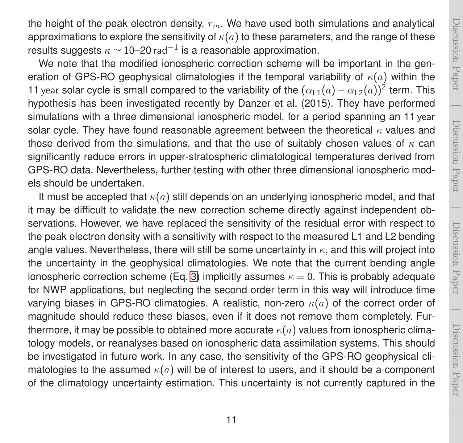the height of the peak electron density,  $r_m$ . We have used both simulations and analytical approximations to explore the sensitivity of  $\kappa(a)$  to these parameters, and the range of these results suggests  $\kappa \simeq 10$ –20 rad $^{-1}$  is a reasonable approximation.

We note that the modified ionospheric correction scheme will be important in the generation of GPS-RO geophysical climatologies if the temporal variability of  $\kappa(a)$  within the 11 year solar cycle is small compared to the variability of the  $(\alpha_{L1}(a) - \alpha_{L2}(a))^2$  term. This hypothesis has been investigated recently by Danzer et al. (2015). They have performed simulations with a three dimensional ionospheric model, for a period spanning an 11 year solar cycle. They have found reasonable agreement between the theoretical  $\kappa$  values and those derived from the simulations, and that the use of suitably chosen values of  $\kappa$  can significantly reduce errors in upper-stratospheric climatological temperatures derived from GPS-RO data. Nevertheless, further testing with other three dimensional ionospheric models should be undertaken.

It must be accepted that  $\kappa(a)$  still depends on an underlying ionospheric model, and that it may be difficult to validate the new correction scheme directly against independent observations. However, we have replaced the sensitivity of the residual error with respect to the peak electron density with a sensitivity with respect to the measured L1 and L2 bending angle values. Nevertheless, there will still be some uncertainty in  $\kappa$ , and this will project into the uncertainty in the geophysical climatologies. We note that the current bending angle ionospheric correction scheme (Eq. [3\)](#page-5-0) implicitly assumes  $\kappa = 0$ . This is probably adequate for NWP applications, but neglecting the second order term in this way will introduce time varying biases in GPS-RO climatogies. A realistic, non-zero  $\kappa(a)$  of the correct order of magnitude should reduce these biases, even if it does not remove them completely. Furthermore, it may be possible to obtained more accurate  $\kappa(a)$  values from ionospheric climatology models, or reanalyses based on ionospheric data assimilation systems. This should be investigated in future work. In any case, the sensitivity of the GPS-RO geophysical climatologies to the assumed  $\kappa(a)$  will be of interest to users, and it should be a component of the climatology uncertainty estimation. This uncertainty is not currently captured in the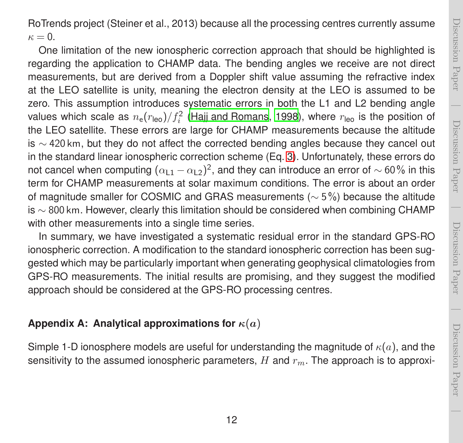RoTrends project (Steiner et al., 2013) because all the processing centres currently assume  $\kappa = 0.$ 

One limitation of the new ionospheric correction approach that should be highlighted is regarding the application to CHAMP data. The bending angles we receive are not direct measurements, but are derived from a Doppler shift value assuming the refractive index at the LEO satellite is unity, meaning the electron density at the LEO is assumed to be zero. This assumption introduces systematic errors in both the L1 and L2 bending angle values which scale as  $n_{\rm e}(r_{\rm leo})/f_i^2$  [\(Hajj and Romans](#page-16-10), [1998\)](#page-16-10), where  $r_{\rm leo}$  is the position of the LEO satellite. These errors are large for CHAMP measurements because the altitude is  $\sim$  420 km, but they do not affect the corrected bending angles because they cancel out in the standard linear ionospheric correction scheme (Eq. [3\)](#page-5-0). Unfortunately, these errors do not cancel when computing  $(\alpha_{L1}-\alpha_{L2})^2$ , and they can introduce an error of  $\sim$  60% in this term for CHAMP measurements at solar maximum conditions. The error is about an order of magnitude smaller for COSMIC and GRAS measurements (∼ 5%) because the altitude is  $\sim$  800 km. However, clearly this limitation should be considered when combining CHAMP with other measurements into a single time series.

In summary, we have investigated a systematic residual error in the standard GPS-RO ionospheric correction. A modification to the standard ionospheric correction has been suggested which may be particularly important when generating geophysical climatologies from GPS-RO measurements. The initial results are promising, and they suggest the modified approach should be considered at the GPS-RO processing centres.

#### **Appendix A: Analytical approximations for**  $\kappa(a)$

Simple 1-D ionosphere models are useful for understanding the magnitude of  $\kappa(a)$ , and the sensitivity to the assumed ionospheric parameters,  $H$  and  $r_m$ . The approach is to approxi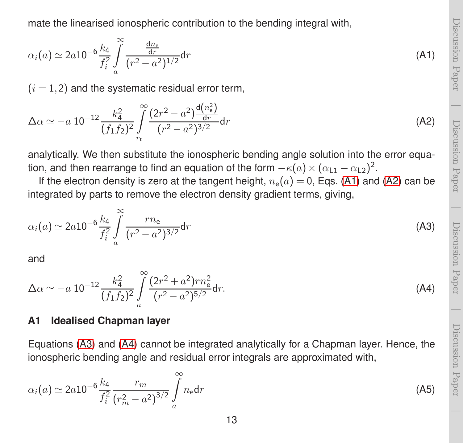mate the linearised ionospheric contribution to the bending integral with,

<span id="page-12-2"></span>
$$
\alpha_i(a) \simeq 2a10^{-6} \frac{k_4}{f_i^2} \int\limits_{a}^{\infty} \frac{\frac{dn_e}{dr}}{(r^2 - a^2)^{1/2}} dr \tag{A1}
$$

 $(i = 1, 2)$  and the systematic residual error term,

<span id="page-12-3"></span>
$$
\Delta \alpha \simeq -a \; 10^{-12} \frac{k_4^2}{(f_1 f_2)^2} \int_{r_t}^{\infty} \frac{(2r^2 - a^2) \frac{d(n_e^2)}{dr}}{(r^2 - a^2)^{3/2}} dr \tag{A2}
$$

analytically. We then substitute the ionospheric bending angle solution into the error equation, and then rearrange to find an equation of the form  $-\kappa(a)\times(\alpha_{\textsf{L1}}-\alpha_{\textsf{L2}})^2$ .

If the electron density is zero at the tangent height,  $n_e(a) = 0$ , Eqs. [\(A1\)](#page-12-2) and [\(A2\)](#page-12-3) can be integrated by parts to remove the electron density gradient terms, giving,

<span id="page-12-1"></span>
$$
\alpha_i(a) \simeq 2a 10^{-6} \frac{k_4}{f_i^2} \int_{a}^{\infty} \frac{rn_e}{(r^2 - a^2)^{3/2}} dr \tag{A3}
$$

and

<span id="page-12-0"></span>
$$
\Delta \alpha \simeq -a \; 10^{-12} \frac{k_4^2}{(f_1 f_2)^2} \int\limits_a^\infty \frac{(2r^2 + a^2)rn_e^2}{(r^2 - a^2)^{5/2}} dr. \tag{A4}
$$

#### **A1 Idealised Chapman layer**

Equations [\(A3\)](#page-12-1) and [\(A4\)](#page-12-0) cannot be integrated analytically for a Chapman layer. Hence, the ionospheric bending angle and residual error integrals are approximated with,

$$
\alpha_i(a) \simeq 2a 10^{-6} \frac{k_4}{f_i^2} \frac{r_m}{(r_m^2 - a^2)^{3/2}} \int_a^\infty n_e \mathrm{d}r \tag{A5}
$$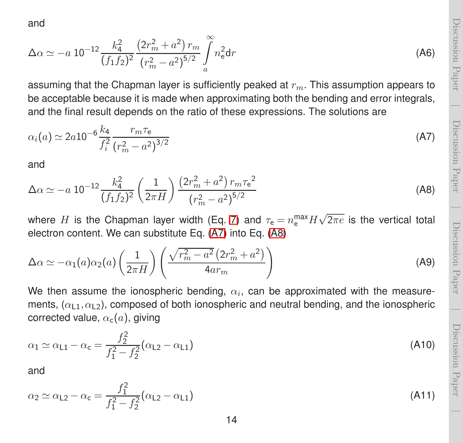and

$$
\Delta \alpha \simeq -a \; 10^{-12} \frac{k_4^2}{(f_1 f_2)^2} \frac{\left(2r_m^2 + a^2\right) r_m}{\left(r_m^2 - a^2\right)^{5/2}} \int_a^\infty n_e^2 \mathrm{d}r \tag{A6}
$$

Discussion Paper

Jiscussion Paper

 $\overline{\phantom{0}}$ 

Discussion Paper

<span id="page-13-0"></span>Discussion Paper

<span id="page-13-1"></span>Discussion Paper

Discussion Paper

Discussion Paper

Discussion Paper

 $\overline{\phantom{0}}$ 

assuming that the Chapman layer is sufficiently peaked at  $r_m$ . This assumption appears to be acceptable because it is made when approximating both the bending and error integrals, and the final result depends on the ratio of these expressions. The solutions are

$$
\alpha_i(a) \simeq 2a10^{-6} \frac{k_4}{f_i^2} \frac{r_m \tau_e}{(r_m^2 - a^2)^{3/2}}
$$
 (A7)

and

$$
\Delta \alpha \simeq -a \; 10^{-12} \frac{k_4^2}{(f_1 f_2)^2} \left(\frac{1}{2\pi H}\right) \frac{\left(2r_m^2 + a^2\right) r_m \tau_e^2}{\left(r_m^2 - a^2\right)^{5/2}} \tag{A8}
$$

where  $H$  is the Chapman layer width (Eq. [7\)](#page-7-1) and  $\tau_{\rm e} = n_{\rm e}^{\rm max} H \sqrt{2\pi e}$  is the vertical total electron content. We can substitute Eq. [\(A7\)](#page-13-0) into Eq. [\(A8\)](#page-13-1)

$$
\Delta \alpha \simeq -\alpha_1(a)\alpha_2(a) \left(\frac{1}{2\pi H}\right) \left(\frac{\sqrt{r_m^2 - a^2} \left(2r_m^2 + a^2\right)}{4ar_m}\right) \tag{A9}
$$

We then assume the ionospheric bending,  $\alpha_i$ , can be approximated with the measurements,  $(\alpha_{1,1}, \alpha_{1,2})$ , composed of both ionospheric and neutral bending, and the ionospheric corrected value,  $\alpha_c(a)$ , giving

$$
\alpha_1 \simeq \alpha_{L1} - \alpha_c = \frac{f_2^2}{f_1^2 - f_2^2} (\alpha_{L2} - \alpha_{L1})
$$
\n(A10)

and

$$
\alpha_2 \simeq \alpha_{L2} - \alpha_c = \frac{f_1^2}{f_1^2 - f_2^2} (\alpha_{L2} - \alpha_{L1})
$$
\n(A11)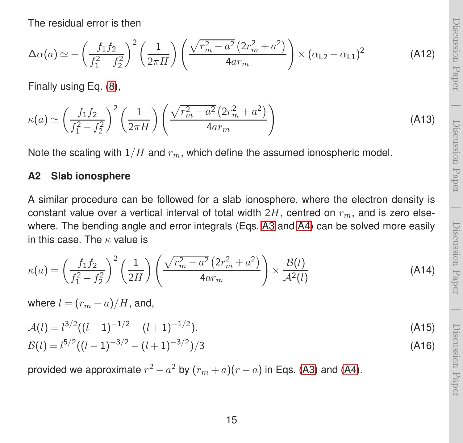The residual error is then

$$
\Delta \alpha(a) \simeq -\left(\frac{f_1 f_2}{f_1^2 - f_2^2}\right)^2 \left(\frac{1}{2\pi H}\right) \left(\frac{\sqrt{r_m^2 - a^2} \left(2r_m^2 + a^2\right)}{4ar_m}\right) \times \left(\alpha_{L2} - \alpha_{L1}\right)^2 \tag{A12}
$$

Finally using Eq. [\(8\)](#page-8-0),

<span id="page-14-0"></span>
$$
\kappa(a) \simeq \left(\frac{f_1 f_2}{f_1^2 - f_2^2}\right)^2 \left(\frac{1}{2\pi H}\right) \left(\frac{\sqrt{r_m^2 - a^2} \left(2r_m^2 + a^2\right)}{4ar_m}\right)
$$
(A13)

Note the scaling with  $1/H$  and  $r_m$ , which define the assumed ionospheric model.

#### **A2 Slab ionosphere**

A similar procedure can be followed for a slab ionosphere, where the electron density is constant value over a vertical interval of total width  $2H$ , centred on  $r_m$ , and is zero elsewhere. The bending angle and error integrals (Eqs. [A3](#page-12-1) and [A4\)](#page-12-0) can be solved more easily in this case. The  $\kappa$  value is

<span id="page-14-1"></span>
$$
\kappa(a) = \left(\frac{f_1 f_2}{f_1^2 - f_2^2}\right)^2 \left(\frac{1}{2H}\right) \left(\frac{\sqrt{r_m^2 - a^2} \left(2r_m^2 + a^2\right)}{4ar_m}\right) \times \frac{\mathcal{B}(l)}{\mathcal{A}^2(l)}\tag{A14}
$$

where  $l = (r_m - a)/H$ , and,

$$
A(l) = l^{3/2}((l-1)^{-1/2} - (l+1)^{-1/2}).
$$
\n(A15)

$$
\mathcal{B}(l) = l^{5/2}((l-1)^{-3/2} - (l+1)^{-3/2})/3
$$
\n(A16)

provided we approximate  $r^2 - a^2$  by  $(r_m + a)(r - a)$  in Eqs. [\(A3\)](#page-12-1) and [\(A4\)](#page-12-0).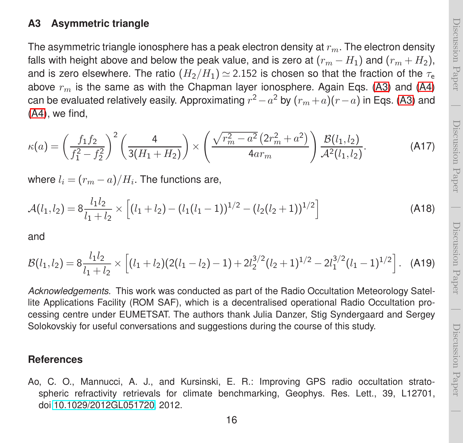## <span id="page-15-1"></span>Discussion PaperDiscussion Paper  $\overline{\phantom{0}}$

Discussion Paper

Discussion Paper

 $\overline{\phantom{0}}$ 

#### **A3 Asymmetric triangle**

The asymmetric triangle ionosphere has a peak electron density at  $r_m$ . The electron density falls with height above and below the peak value, and is zero at  $(r_m - H_1)$  and  $(r_m + H_2)$ , and is zero elsewhere. The ratio  $(H_2/H_1) \simeq 2.152$  is chosen so that the fraction of the  $\tau_e$ above  $r_m$  is the same as with the Chapman layer ionosphere. Again Eqs. [\(A3\)](#page-12-1) and [\(A4\)](#page-12-0) can be evaluated relatively easily. Approximating  $r^2 - a^2$  by  $(r_m + a)(r - a)$  in Eqs. [\(A3\)](#page-12-1) and [\(A4\)](#page-12-0), we find,

$$
\kappa(a) = \left(\frac{f_1 f_2}{f_1^2 - f_2^2}\right)^2 \left(\frac{4}{3(H_1 + H_2)}\right) \times \left(\frac{\sqrt{r_m^2 - a^2} \left(2r_m^2 + a^2\right)}{4ar_m}\right) \frac{\mathcal{B}(l_1, l_2)}{\mathcal{A}^2(l_1, l_2)}.
$$
 (A17)

where  $l_i = (r_m - a)/H_i$ . The functions are,

$$
\mathcal{A}(l_1, l_2) = 8 \frac{l_1 l_2}{l_1 + l_2} \times \left[ (l_1 + l_2) - (l_1 (l_1 - 1))^{1/2} - (l_2 (l_2 + 1))^{1/2} \right] \tag{A18}
$$

and

$$
\mathcal{B}(l_1, l_2) = 8 \frac{l_1 l_2}{l_1 + l_2} \times \left[ (l_1 + l_2)(2(l_1 - l_2) - 1) + 2l_2^{3/2}(l_2 + 1)^{1/2} - 2l_1^{3/2}(l_1 - 1)^{1/2} \right].
$$
 (A19)

*Acknowledgements.* This work was conducted as part of the Radio Occultation Meteorology Satellite Applications Facility (ROM SAF), which is a decentralised operational Radio Occultation processing centre under EUMETSAT. The authors thank Julia Danzer, Stig Syndergaard and Sergey Solokovskiy for useful conversations and suggestions during the course of this study.

#### **References**

<span id="page-15-0"></span>Ao, C. O., Mannucci, A. J., and Kursinski, E. R.: Improving GPS radio occultation stratospheric refractivity retrievals for climate benchmarking, Geophys. Res. Lett., 39, L12701, doi[:10.1029/2012GL051720,](http://dx.doi.org/10.1029/2012GL051720) 2012.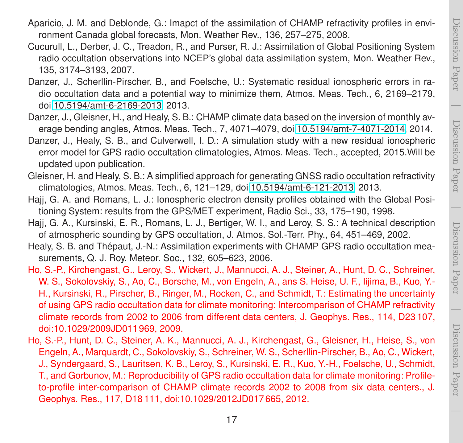Discussion Paper

Discussion Paper

- <span id="page-16-2"></span><span id="page-16-1"></span>Cucurull, L., Derber, J. C., Treadon, R., and Purser, R. J.: Assimilation of Global Positioning System radio occultation observations into NCEP's global data assimilation system, Mon. Weather Rev., 135, 3174–3193, 2007.
- <span id="page-16-5"></span>Danzer, J., Scherllin-Pirscher, B., and Foelsche, U.: Systematic residual ionospheric errors in radio occultation data and a potential way to minimize them, Atmos. Meas. Tech., 6, 2169–2179, doi[:10.5194/amt-6-2169-2013,](http://dx.doi.org/10.5194/amt-6-2169-2013) 2013.
- <span id="page-16-7"></span>Danzer, J., Gleisner, H., and Healy, S. B.: CHAMP climate data based on the inversion of monthly average bending angles, Atmos. Meas. Tech., 7, 4071–4079, doi[:10.5194/amt-7-4071-2014,](http://dx.doi.org/10.5194/amt-7-4071-2014) 2014.
- <span id="page-16-8"></span>Danzer, J., Healy, S. B., and Culverwell, I. D.: A simulation study with a new residual ionospheric error model for GPS radio occultation climatologies, Atmos. Meas. Tech., accepted, 2015.Will be updated upon publication.
- <span id="page-16-6"></span>Gleisner, H. and Healy, S. B.: A simplified approach for generating GNSS radio occultation refractivity climatologies, Atmos. Meas. Tech., 6, 121–129, doi[:10.5194/amt-6-121-2013,](http://dx.doi.org/10.5194/amt-6-121-2013) 2013.
- <span id="page-16-10"></span>Hajj, G. A. and Romans, L. J.: Ionospheric electron density profiles obtained with the Global Positioning System: results from the GPS/MET experiment, Radio Sci., 33, 175–190, 1998.
- <span id="page-16-9"></span>Hajj, G. A., Kursinski, E. R., Romans, L. J., Bertiger, W. I., and Leroy, S. S.: A technical description of atmospheric sounding by GPS occultation, J. Atmos. Sol.-Terr. Phy., 64, 451–469, 2002.
- <span id="page-16-0"></span>Healy, S. B. and Thépaut, J.-N.: Assimilation experiments with CHAMP GPS radio occultation measurements, Q. J. Roy. Meteor. Soc., 132, 605–623, 2006.
- <span id="page-16-3"></span>Ho, S.-P., Kirchengast, G., Leroy, S., Wickert, J., Mannucci, A. J., Steiner, A., Hunt, D. C., Schreiner, W. S., Sokolovskiy, S., Ao, C., Borsche, M., von Engeln, A., ans S. Heise, U. F., Iijima, B., Kuo, Y.- H., Kursinski, R., Pirscher, B., Ringer, M., Rocken, C., and Schmidt, T.: Estimating the uncertainty of using GPS radio occultation data for climate monitoring: Intercomparison of CHAMP refractivity climate records from 2002 to 2006 from different data centers, J. Geophys. Res., 114, D23 107, doi:10.1029/2009JD011 969, 2009.
- <span id="page-16-4"></span>Ho, S.-P., Hunt, D. C., Steiner, A. K., Mannucci, A. J., Kirchengast, G., Gleisner, H., Heise, S., von Engeln, A., Marquardt, C., Sokolovskiy, S., Schreiner, W. S., Scherllin-Pirscher, B., Ao, C., Wickert, J., Syndergaard, S., Lauritsen, K. B., Leroy, S., Kursinski, E. R., Kuo, Y.-H., Foelsche, U., Schmidt, T., and Gorbunov, M.: Reproducibility of GPS radio occultation data for climate monitoring: Profileto-profile inter-comparison of CHAMP climate records 2002 to 2008 from six data centers., J. Geophys. Res., 117, D18 111, doi:10.1029/2012JD017 665, 2012.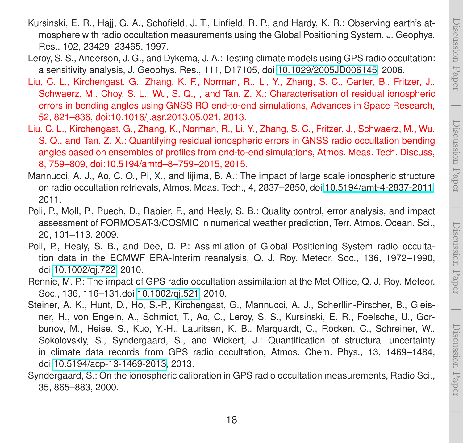- Kursinski, E. R., Hajj, G. A., Schofield, J. T., Linfield, R. P., and Hardy, K. R.: Observing earth's atmosphere with radio occultation measurements using the Global Positioning System, J. Geophys. Res., 102, 23429–23465, 1997.
- <span id="page-17-3"></span>Leroy, S. S., Anderson, J. G., and Dykema, J. A.: Testing climate models using GPS radio occultation: a sensitivity analysis, J. Geophys. Res., 111, D17105, doi[:10.1029/2005JD006145,](http://dx.doi.org/10.1029/2005JD006145) 2006.
- <span id="page-17-7"></span>Liu, C. L., Kirchengast, G., Zhang, K. F., Norman, R., Li, Y., Zhang, S. C., Carter, B., Fritzer, J., Schwaerz, M., Choy, S. L., Wu, S. Q., , and Tan, Z. X.: Characterisation of residual ionospheric errors in bending angles using GNSS RO end-to-end simulations, Advances in Space Research, 52, 821–836, doi:10.1016/j.asr.2013.05.021, 2013.
- <span id="page-17-8"></span>Liu, C. L., Kirchengast, G., Zhang, K., Norman, R., Li, Y., Zhang, S. C., Fritzer, J., Schwaerz, M., Wu, S. Q., and Tan, Z. X.: Quantifying residual ionospheric errors in GNSS radio occultation bending angles based on ensembles of profiles from end-to-end simulations, Atmos. Meas. Tech. Discuss, 8, 759–809, doi:10.5194/amtd–8–759–2015, 2015.
- <span id="page-17-6"></span>Mannucci, A. J., Ao, C. O., Pi, X., and Iijima, B. A.: The impact of large scale ionospheric structure on radio occultation retrievals, Atmos. Meas. Tech., 4, 2837–2850, doi[:10.5194/amt-4-2837-2011,](http://dx.doi.org/10.5194/amt-4-2837-2011) 2011.
- <span id="page-17-0"></span>Poli, P., Moll, P., Puech, D., Rabier, F., and Healy, S. B.: Quality control, error analysis, and impact assessment of FORMOSAT-3/COSMIC in numerical weather prediction, Terr. Atmos. Ocean. Sci., 20, 101–113, 2009.
- <span id="page-17-2"></span>Poli, P., Healy, S. B., and Dee, D. P.: Assimilation of Global Positioning System radio occultation data in the ECMWF ERA-Interim reanalysis, Q. J. Roy. Meteor. Soc., 136, 1972–1990, doi[:10.1002/qj.722,](http://dx.doi.org/10.1002/qj.722) 2010.
- <span id="page-17-1"></span>Rennie, M. P.: The impact of GPS radio occultation assimilation at the Met Office, Q. J. Roy. Meteor. Soc., 136, 116–131.doi[:10.1002/qj.521,](http://dx.doi.org/10.1002/qj.521) 2010.
- <span id="page-17-4"></span>Steiner, A. K., Hunt, D., Ho, S.-P., Kirchengast, G., Mannucci, A. J., Scherllin-Pirscher, B., Gleisner, H., von Engeln, A., Schmidt, T., Ao, C., Leroy, S. S., Kursinski, E. R., Foelsche, U., Gorbunov, M., Heise, S., Kuo, Y.-H., Lauritsen, K. B., Marquardt, C., Rocken, C., Schreiner, W., Sokolovskiy, S., Syndergaard, S., and Wickert, J.: Quantification of structural uncertainty in climate data records from GPS radio occultation, Atmos. Chem. Phys., 13, 1469–1484, doi[:10.5194/acp-13-1469-2013,](http://dx.doi.org/10.5194/acp-13-1469-2013) 2013.
- <span id="page-17-5"></span>Syndergaard, S.: On the ionospheric calibration in GPS radio occultation measurements, Radio Sci., 35, 865–883, 2000.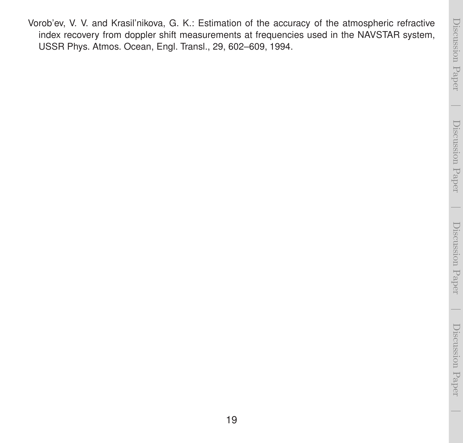<span id="page-18-0"></span>Vorob'ev, V. V. and Krasil'nikova, G. K.: Estimation of the accuracy of the atmospheric refractive index recovery from doppler shift measurements at frequencies used in the NAVSTAR system, USSR Phys. Atmos. Ocean, Engl. Transl., 29, 602–609, 1994.

 $\overline{\phantom{0}}$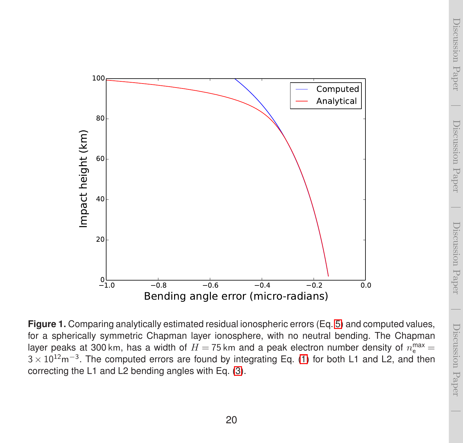<span id="page-19-0"></span>

**Figure 1.** Comparing analytically estimated residual ionospheric errors (Eq. [5\)](#page-6-2) and computed values, for a spherically symmetric Chapman layer ionosphere, with no neutral bending. The Chapman layer peaks at 300 km, has a width of  $H =$  75 km and a peak electron number density of  $n_{\rm e}^{\rm max}$   $=$ 3 × 10<sup>12</sup>m<sup>-3</sup>. The computed errors are found by integrating Eq. [\(1\)](#page-4-1) for both L1 and L2, and then correcting the L1 and L2 bending angles with Eq. [\(3\)](#page-5-0).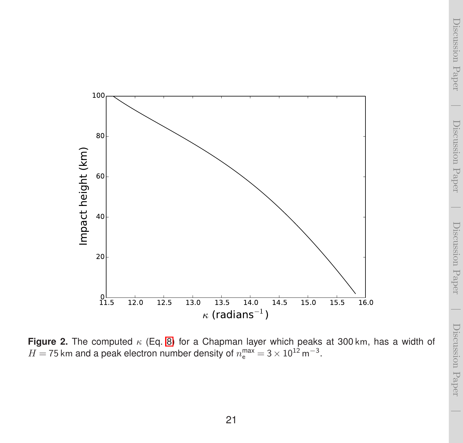<span id="page-20-0"></span>

**Figure 2.** The computed  $\kappa$  (Eq. [8\)](#page-8-0) for a Chapman layer which peaks at 300 km, has a width of  $H = 75$  km and a peak electron number density of  $n_{\rm e}^{\rm max} = 3 \times 10^{12}$  m<sup>-3</sup>.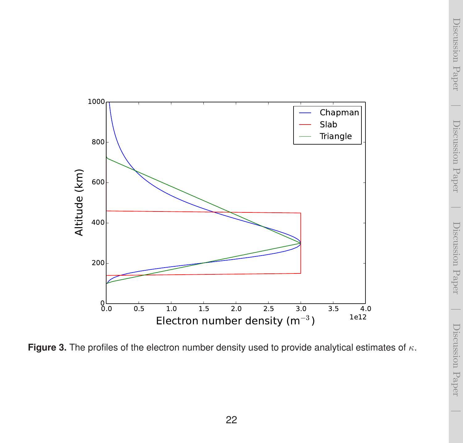<span id="page-21-0"></span>

**Figure 3.** The profiles of the electron number density used to provide analytical estimates of κ.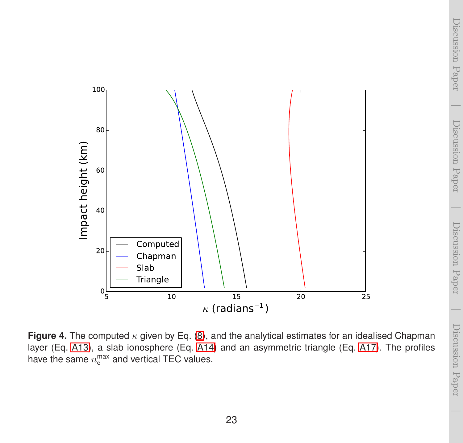<span id="page-22-0"></span>

**Figure 4.** The computed κ given by Eq. [\(8\)](#page-8-0), and the analytical estimates for an idealised Chapman layer (Eq. [A13\)](#page-14-0), a slab ionosphere (Eq. [A14\)](#page-14-1) and an asymmetric triangle (Eq. [A17\)](#page-15-1). The profiles have the same  $n_{\rm e}^{\rm max}$  and vertical TEC values.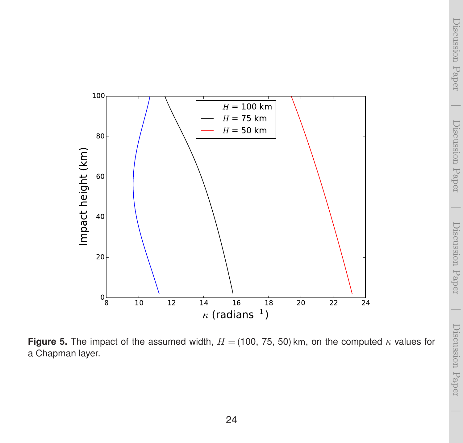<span id="page-23-0"></span>

**Figure 5.** The impact of the assumed width,  $H = (100, 75, 50)$  km, on the computed  $\kappa$  values for a Chapman layer.